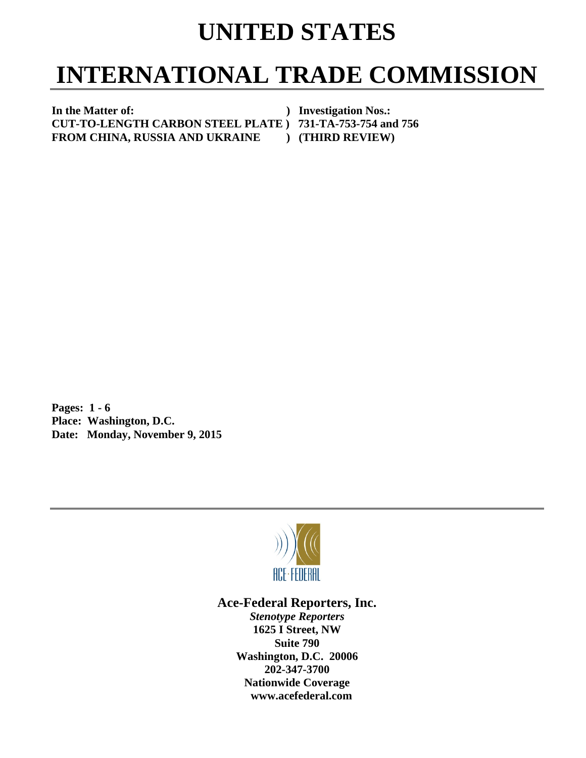## **UNITED STATES**

# **INTERNATIONAL TRADE COMMISSION**

In the Matter of: *In the Matter of: Physical physical physical physical physical physical physical physical physical physical physical physical physical physical physical physical physical physical physical physical* **CUT-TO-LENGTH CARBON STEEL PLATE ) 731-TA-753-754 and 756 FROM CHINA, RUSSIA AND UKRAINE ) (THIRD REVIEW)** 

**Pages: 1 - 6 Place: Washington, D.C. Date: Monday, November 9, 2015** 



### **Ace-Federal Reporters, Inc.**

*Stenotype Reporters*  **1625 I Street, NW Suite 790 Washington, D.C. 20006 202-347-3700 Nationwide Coverage www.acefederal.com**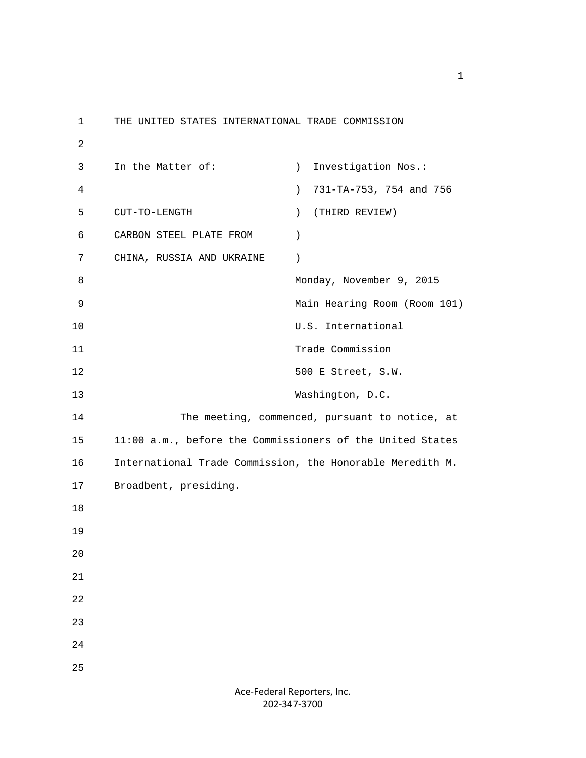1 THE UNITED STATES INTERNATIONAL TRADE COMMISSION 2 3 In the Matter of: ) Investigation Nos.: 4 ) 731-TA-753, 754 and 756 5 CUT-TO-LENGTH ) (THIRD REVIEW) 6 CARBON STEEL PLATE FROM ) 7 CHINA, RUSSIA AND UKRAINE ) 8 Monday, November 9, 2015 9 Main Hearing Room (Room 101) 10 U.S. International 11 Trade Commission 12 500 E Street, S.W. 13 Washington, D.C. 14 The meeting, commenced, pursuant to notice, at 15 11:00 a.m., before the Commissioners of the United States 16 International Trade Commission, the Honorable Meredith M. 17 Broadbent, presiding. 18 19 20 21 22 23 24 25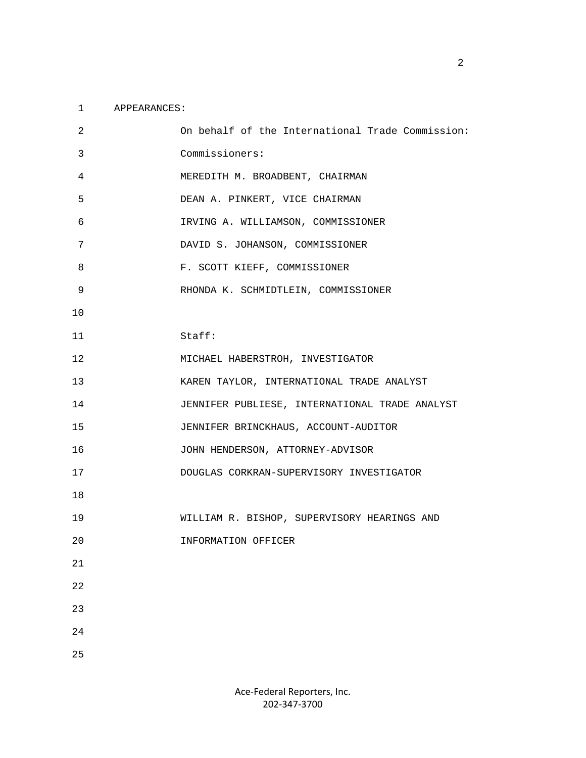#### 1 APPEARANCES:

| 2      | On behalf of the International Trade Commission: |
|--------|--------------------------------------------------|
| 3      | Commissioners:                                   |
| 4      | MEREDITH M. BROADBENT, CHAIRMAN                  |
| 5      | DEAN A. PINKERT, VICE CHAIRMAN                   |
| 6      | IRVING A. WILLIAMSON, COMMISSIONER               |
| 7      | DAVID S. JOHANSON, COMMISSIONER                  |
| 8      | F. SCOTT KIEFF, COMMISSIONER                     |
| 9      | RHONDA K. SCHMIDTLEIN, COMMISSIONER              |
| 10     |                                                  |
| 11     | Staff:                                           |
| 12     | MICHAEL HABERSTROH, INVESTIGATOR                 |
| 13     | KAREN TAYLOR, INTERNATIONAL TRADE ANALYST        |
| 14     | JENNIFER PUBLIESE, INTERNATIONAL TRADE ANALYST   |
| 15     | JENNIFER BRINCKHAUS, ACCOUNT-AUDITOR             |
| 16     | JOHN HENDERSON, ATTORNEY-ADVISOR                 |
| 17     | DOUGLAS CORKRAN-SUPERVISORY INVESTIGATOR         |
| 18     |                                                  |
| 19     | WILLIAM R. BISHOP, SUPERVISORY HEARINGS AND      |
| 20     | INFORMATION OFFICER                              |
| $21\,$ |                                                  |
| 22     |                                                  |
| 23     |                                                  |
| 24     |                                                  |
| 25     |                                                  |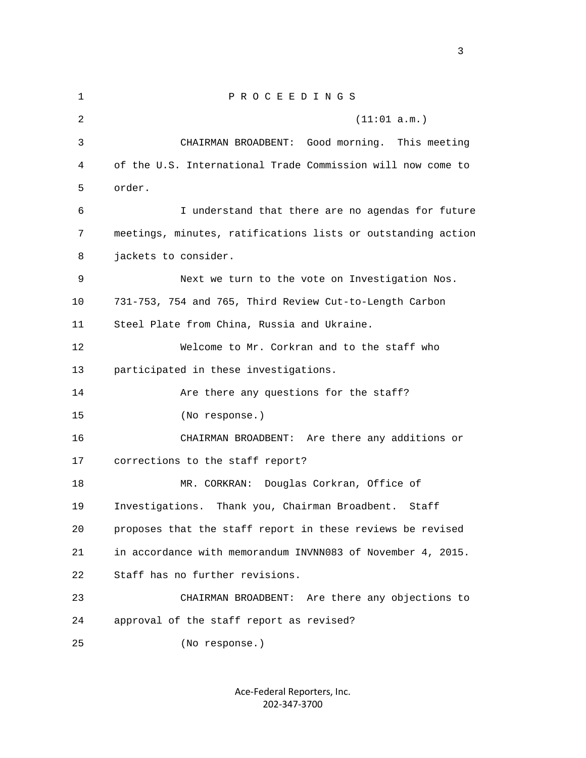1 P R O C E E D I N G S 2 (11:01 a.m.) 3 CHAIRMAN BROADBENT: Good morning. This meeting 4 of the U.S. International Trade Commission will now come to 5 order. 6 I understand that there are no agendas for future 7 meetings, minutes, ratifications lists or outstanding action 8 jackets to consider. 9 Next we turn to the vote on Investigation Nos. 10 731-753, 754 and 765, Third Review Cut-to-Length Carbon 11 Steel Plate from China, Russia and Ukraine. 12 Welcome to Mr. Corkran and to the staff who 13 participated in these investigations. 14 Are there any questions for the staff? 15 (No response.) 16 CHAIRMAN BROADBENT: Are there any additions or 17 corrections to the staff report? 18 MR. CORKRAN: Douglas Corkran, Office of 19 Investigations. Thank you, Chairman Broadbent. Staff 20 proposes that the staff report in these reviews be revised 21 in accordance with memorandum INVNN083 of November 4, 2015. 22 Staff has no further revisions. 23 CHAIRMAN BROADBENT: Are there any objections to 24 approval of the staff report as revised? 25 (No response.)

> Ace‐Federal Reporters, Inc. 202‐347‐3700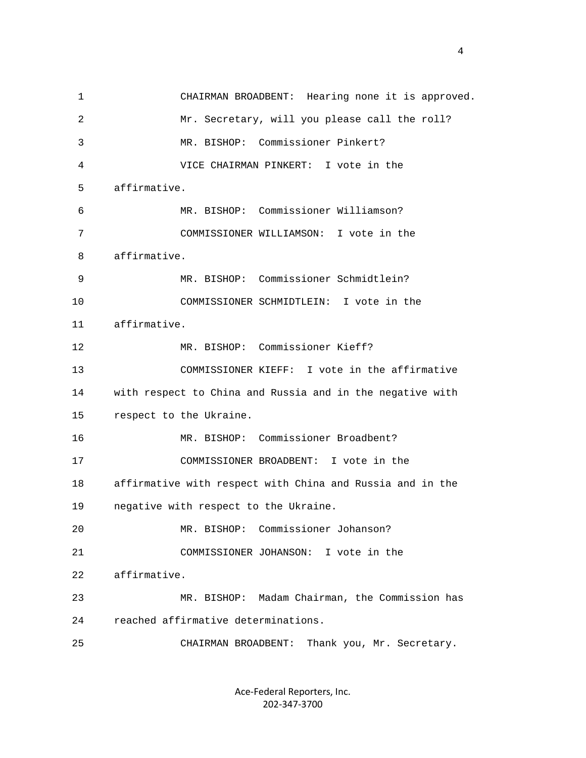1 CHAIRMAN BROADBENT: Hearing none it is approved. 2 Mr. Secretary, will you please call the roll? 3 MR. BISHOP: Commissioner Pinkert? 4 VICE CHAIRMAN PINKERT: I vote in the 5 affirmative. 6 MR. BISHOP: Commissioner Williamson? 7 COMMISSIONER WILLIAMSON: I vote in the 8 affirmative. 9 MR. BISHOP: Commissioner Schmidtlein? 10 COMMISSIONER SCHMIDTLEIN: I vote in the 11 affirmative. 12 MR. BISHOP: Commissioner Kieff? 13 COMMISSIONER KIEFF: I vote in the affirmative 14 with respect to China and Russia and in the negative with 15 respect to the Ukraine. 16 MR. BISHOP: Commissioner Broadbent? 17 COMMISSIONER BROADBENT: I vote in the 18 affirmative with respect with China and Russia and in the 19 negative with respect to the Ukraine. 20 MR. BISHOP: Commissioner Johanson? 21 COMMISSIONER JOHANSON: I vote in the 22 affirmative. 23 MR. BISHOP: Madam Chairman, the Commission has 24 reached affirmative determinations. 25 CHAIRMAN BROADBENT: Thank you, Mr. Secretary.

> Ace‐Federal Reporters, Inc. 202‐347‐3700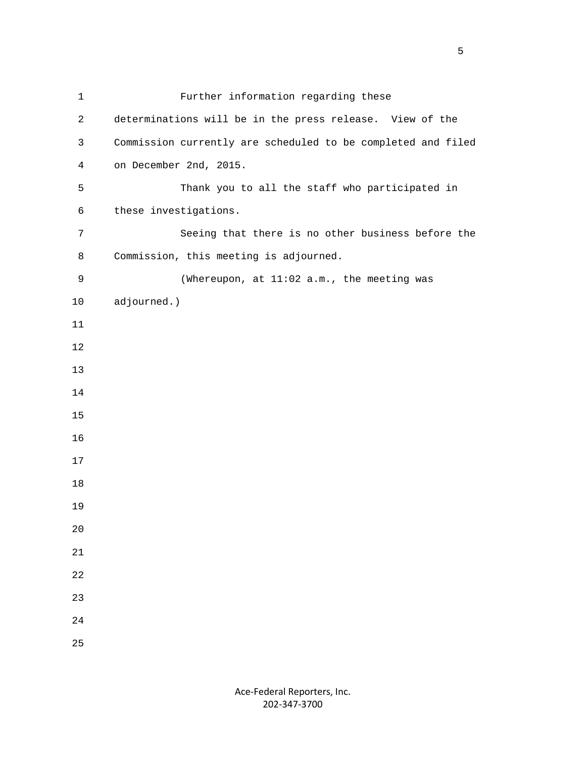| $\mathbf{1}$   | Further information regarding these                          |
|----------------|--------------------------------------------------------------|
| 2              | determinations will be in the press release. View of the     |
| 3              | Commission currently are scheduled to be completed and filed |
| $\overline{4}$ | on December 2nd, 2015.                                       |
| 5              | Thank you to all the staff who participated in               |
| 6              | these investigations.                                        |
| 7              | Seeing that there is no other business before the            |
| 8              | Commission, this meeting is adjourned.                       |
| 9              | (Whereupon, at 11:02 a.m., the meeting was                   |
| 10             | adjourned.)                                                  |
| 11             |                                                              |
| 12             |                                                              |
| 13             |                                                              |
| 14             |                                                              |
| 15             |                                                              |
| 16             |                                                              |
| 17             |                                                              |
| 18             |                                                              |
| 19             |                                                              |
| $20$           |                                                              |
| 21             |                                                              |
| 22             |                                                              |
| 23             |                                                              |
| 24             |                                                              |
| 25             |                                                              |